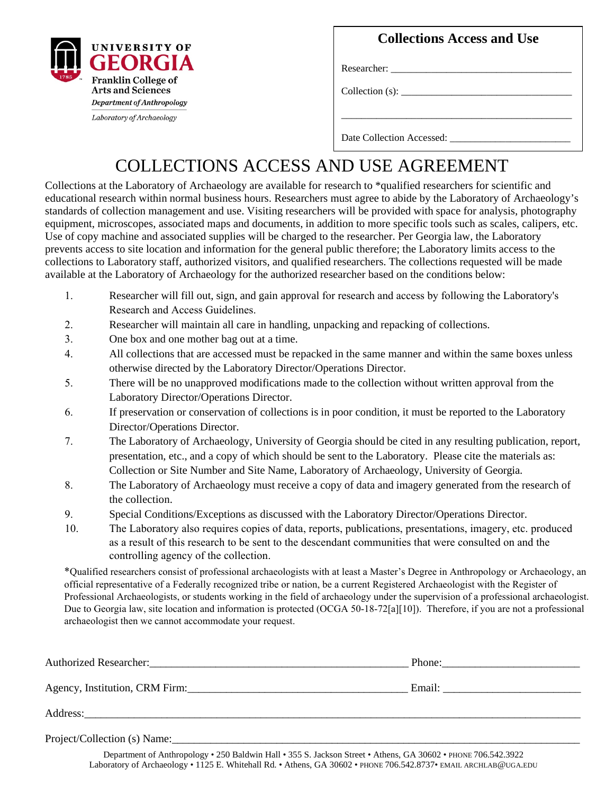

**Collections Access and Use**

\_\_\_\_\_\_\_\_\_\_\_\_\_\_\_\_\_\_\_\_\_\_\_\_\_\_\_\_\_\_\_\_\_\_\_\_\_\_\_\_\_\_\_\_\_\_

Researcher:

 $Collection(s):$ 

Laboratory of Archaeology

Date Collection Accessed:

## COLLECTIONS ACCESS AND USE AGREEMENT

Collections at the Laboratory of Archaeology are available for research to \*qualified researchers for scientific and educational research within normal business hours. Researchers must agree to abide by the Laboratory of Archaeology's standards of collection management and use. Visiting researchers will be provided with space for analysis, photography equipment, microscopes, associated maps and documents, in addition to more specific tools such as scales, calipers, etc. Use of copy machine and associated supplies will be charged to the researcher. Per Georgia law, the Laboratory prevents access to site location and information for the general public therefore; the Laboratory limits access to the collections to Laboratory staff, authorized visitors, and qualified researchers. The collections requested will be made available at the Laboratory of Archaeology for the authorized researcher based on the conditions below:

- 1. Researcher will fill out, sign, and gain approval for research and access by following the Laboratory's Research and Access Guidelines.
- 2. Researcher will maintain all care in handling, unpacking and repacking of collections.
- 3. One box and one mother bag out at a time.
- 4. All collections that are accessed must be repacked in the same manner and within the same boxes unless otherwise directed by the Laboratory Director/Operations Director.
- 5. There will be no unapproved modifications made to the collection without written approval from the Laboratory Director/Operations Director.
- 6. If preservation or conservation of collections is in poor condition, it must be reported to the Laboratory Director/Operations Director.
- 7. The Laboratory of Archaeology, University of Georgia should be cited in any resulting publication, report, presentation, etc., and a copy of which should be sent to the Laboratory. Please cite the materials as: Collection or Site Number and Site Name, Laboratory of Archaeology, University of Georgia.
- 8. The Laboratory of Archaeology must receive a copy of data and imagery generated from the research of the collection.
- 9. Special Conditions/Exceptions as discussed with the Laboratory Director/Operations Director.
- 10. The Laboratory also requires copies of data, reports, publications, presentations, imagery, etc. produced as a result of this research to be sent to the descendant communities that were consulted on and the controlling agency of the collection.

\*Qualified researchers consist of professional archaeologists with at least a Master's Degree in Anthropology or Archaeology, an official representative of a Federally recognized tribe or nation, be a current Registered Archaeologist with the Register of Professional Archaeologists, or students working in the field of archaeology under the supervision of a professional archaeologist. Due to Georgia law, site location and information is protected (OCGA 50-18-72[a][10]). Therefore, if you are not a professional archaeologist then we cannot accommodate your request.

| Authorized Researcher:<br><u> </u> |                                                                                                                                                                                                                                |
|------------------------------------|--------------------------------------------------------------------------------------------------------------------------------------------------------------------------------------------------------------------------------|
| Agency, Institution, CRM Firm:     | Email: the contract of the contract of the contract of the contract of the contract of the contract of the contract of the contract of the contract of the contract of the contract of the contract of the contract of the con |
|                                    |                                                                                                                                                                                                                                |
|                                    |                                                                                                                                                                                                                                |